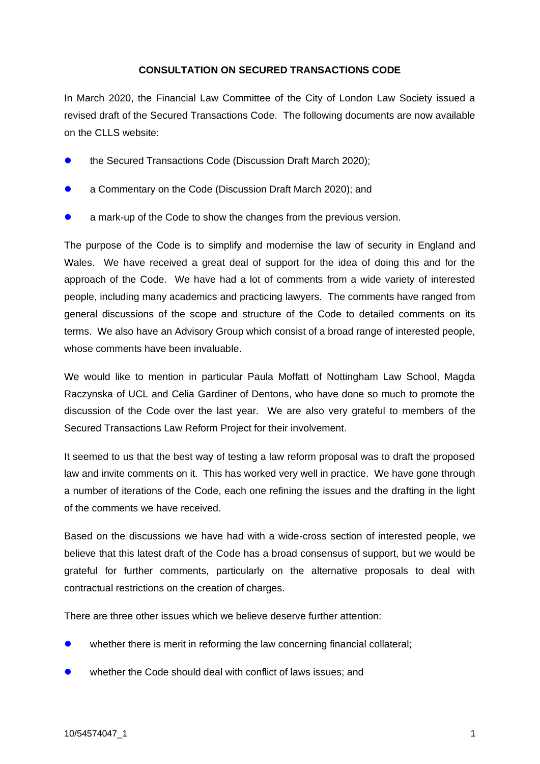## **CONSULTATION ON SECURED TRANSACTIONS CODE**

In March 2020, the Financial Law Committee of the City of London Law Society issued a revised draft of the Secured Transactions Code. The following documents are now available on the CLLS website:

- ⚫ the Secured Transactions Code (Discussion Draft March 2020);
- a Commentary on the Code (Discussion Draft March 2020); and
- a mark-up of the Code to show the changes from the previous version.

The purpose of the Code is to simplify and modernise the law of security in England and Wales. We have received a great deal of support for the idea of doing this and for the approach of the Code. We have had a lot of comments from a wide variety of interested people, including many academics and practicing lawyers. The comments have ranged from general discussions of the scope and structure of the Code to detailed comments on its terms. We also have an Advisory Group which consist of a broad range of interested people, whose comments have been invaluable.

We would like to mention in particular Paula Moffatt of Nottingham Law School, Magda Raczynska of UCL and Celia Gardiner of Dentons, who have done so much to promote the discussion of the Code over the last year. We are also very grateful to members of the Secured Transactions Law Reform Project for their involvement.

It seemed to us that the best way of testing a law reform proposal was to draft the proposed law and invite comments on it. This has worked very well in practice. We have gone through a number of iterations of the Code, each one refining the issues and the drafting in the light of the comments we have received.

Based on the discussions we have had with a wide-cross section of interested people, we believe that this latest draft of the Code has a broad consensus of support, but we would be grateful for further comments, particularly on the alternative proposals to deal with contractual restrictions on the creation of charges.

There are three other issues which we believe deserve further attention:

- whether there is merit in reforming the law concerning financial collateral;
- whether the Code should deal with conflict of laws issues; and